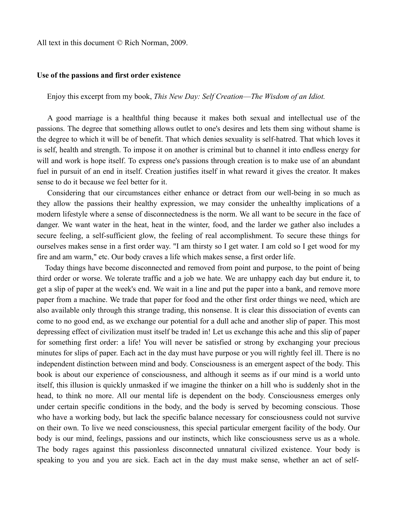All text in this document © Rich Norman, 2009.

## **Use of the passions and first order existence**

Enjoy this excerpt from my book, *This New Day: Self Creation––The Wisdom of an Idiot.*

A good marriage is a healthful thing because it makes both sexual and intellectual use of the passions. The degree that something allows outlet to one's desires and lets them sing without shame is the degree to which it will be of benefit. That which denies sexuality is self-hatred. That which loves it is self, health and strength. To impose it on another is criminal but to channel it into endless energy for will and work is hope itself. To express one's passions through creation is to make use of an abundant fuel in pursuit of an end in itself. Creation justifies itself in what reward it gives the creator. It makes sense to do it because we feel better for it.

Considering that our circumstances either enhance or detract from our well-being in so much as they allow the passions their healthy expression, we may consider the unhealthy implications of a modern lifestyle where a sense of disconnectedness is the norm. We all want to be secure in the face of danger. We want water in the heat, heat in the winter, food, and the larder we gather also includes a secure feeling, a self-sufficient glow, the feeling of real accomplishment. To secure these things for ourselves makes sense in a first order way. "I am thirsty so I get water. I am cold so I get wood for my fire and am warm," etc. Our body craves a life which makes sense, a first order life.

Today things have become disconnected and removed from point and purpose, to the point of being third order or worse. We tolerate traffic and a job we hate. We are unhappy each day but endure it, to get a slip of paper at the week's end. We wait in a line and put the paper into a bank, and remove more paper from a machine. We trade that paper for food and the other first order things we need, which are also available only through this strange trading, this nonsense. It is clear this dissociation of events can come to no good end, as we exchange our potential for a dull ache and another slip of paper. This most depressing effect of civilization must itself be traded in! Let us exchange this ache and this slip of paper for something first order: a life! You will never be satisfied or strong by exchanging your precious minutes for slips of paper. Each act in the day must have purpose or you will rightly feel ill. There is no independent distinction between mind and body. Consciousness is an emergent aspect of the body. This book is about our experience of consciousness, and although it seems as if our mind is a world unto itself, this illusion is quickly unmasked if we imagine the thinker on a hill who is suddenly shot in the head, to think no more. All our mental life is dependent on the body. Consciousness emerges only under certain specific conditions in the body, and the body is served by becoming conscious. Those who have a working body, but lack the specific balance necessary for consciousness could not survive on their own. To live we need consciousness, this special particular emergent facility of the body. Our body is our mind, feelings, passions and our instincts, which like consciousness serve us as a whole. The body rages against this passionless disconnected unnatural civilized existence. Your body is speaking to you and you are sick. Each act in the day must make sense, whether an act of self